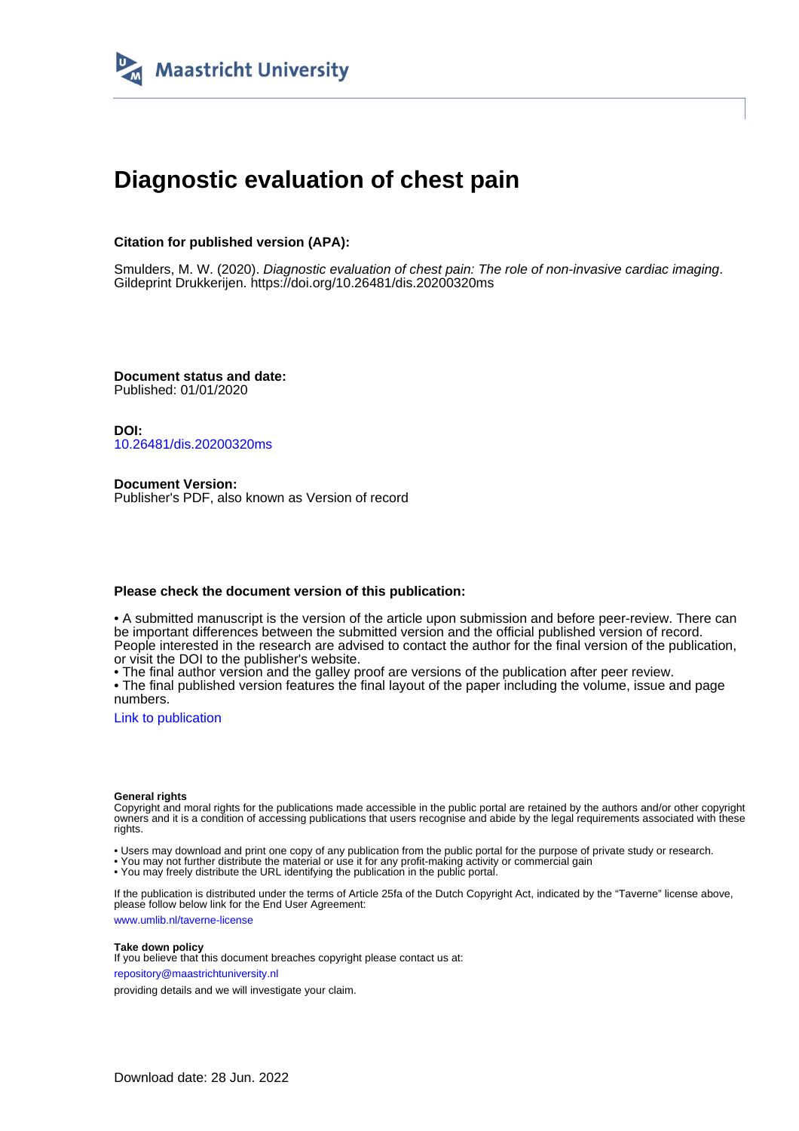

# **Diagnostic evaluation of chest pain**

## **Citation for published version (APA):**

Smulders, M. W. (2020). Diagnostic evaluation of chest pain: The role of non-invasive cardiac imaging. Gildeprint Drukkerijen. <https://doi.org/10.26481/dis.20200320ms>

**Document status and date:** Published: 01/01/2020

**DOI:** [10.26481/dis.20200320ms](https://doi.org/10.26481/dis.20200320ms)

**Document Version:** Publisher's PDF, also known as Version of record

#### **Please check the document version of this publication:**

• A submitted manuscript is the version of the article upon submission and before peer-review. There can be important differences between the submitted version and the official published version of record. People interested in the research are advised to contact the author for the final version of the publication, or visit the DOI to the publisher's website.

• The final author version and the galley proof are versions of the publication after peer review.

• The final published version features the final layout of the paper including the volume, issue and page numbers.

[Link to publication](https://cris.maastrichtuniversity.nl/en/publications/e3ef36a2-955b-4692-96e8-b7a1ccd580a0)

#### **General rights**

Copyright and moral rights for the publications made accessible in the public portal are retained by the authors and/or other copyright owners and it is a condition of accessing publications that users recognise and abide by the legal requirements associated with these rights.

• Users may download and print one copy of any publication from the public portal for the purpose of private study or research.

• You may not further distribute the material or use it for any profit-making activity or commercial gain

• You may freely distribute the URL identifying the publication in the public portal.

If the publication is distributed under the terms of Article 25fa of the Dutch Copyright Act, indicated by the "Taverne" license above, please follow below link for the End User Agreement:

www.umlib.nl/taverne-license

#### **Take down policy**

If you believe that this document breaches copyright please contact us at: repository@maastrichtuniversity.nl

providing details and we will investigate your claim.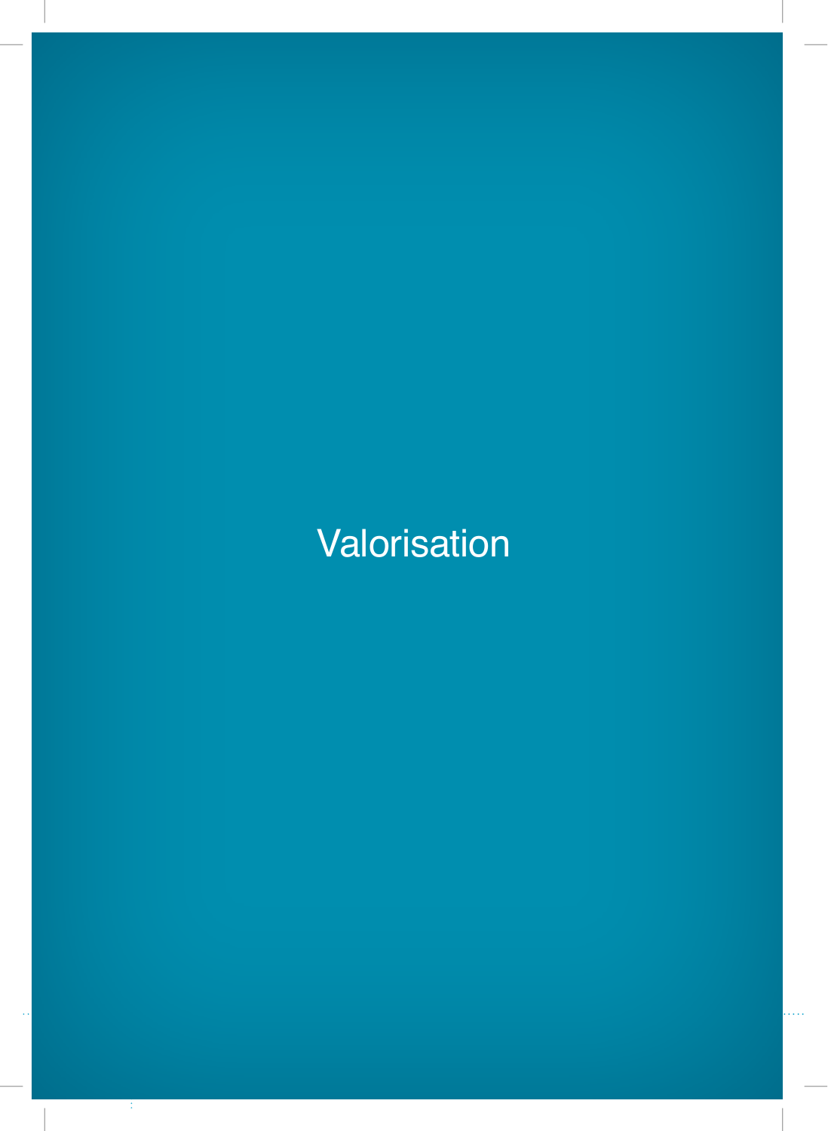# **Valorisation**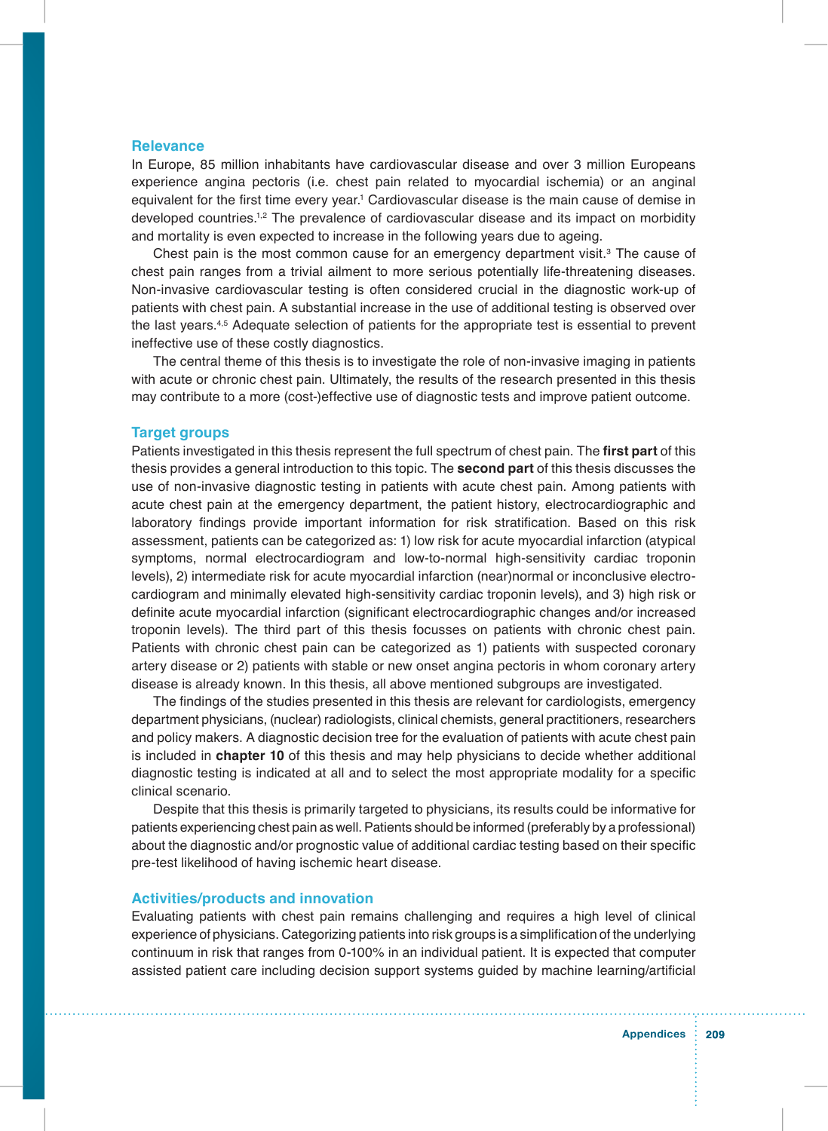#### **Relevance**

In Europe, 85 million inhabitants have cardiovascular disease and over 3 million Europeans experience angina pectoris (i.e. chest pain related to myocardial ischemia) or an anginal equivalent for the first time every year.<sup>1</sup> Cardiovascular disease is the main cause of demise in developed countries.1,2 The prevalence of cardiovascular disease and its impact on morbidity and mortality is even expected to increase in the following years due to ageing.

Chest pain is the most common cause for an emergency department visit.<sup>3</sup> The cause of chest pain ranges from a trivial ailment to more serious potentially life-threatening diseases. Non-invasive cardiovascular testing is often considered crucial in the diagnostic work-up of patients with chest pain. A substantial increase in the use of additional testing is observed over the last years.4,5 Adequate selection of patients for the appropriate test is essential to prevent ineffective use of these costly diagnostics.

The central theme of this thesis is to investigate the role of non-invasive imaging in patients with acute or chronic chest pain. Ultimately, the results of the research presented in this thesis may contribute to a more (cost-)effective use of diagnostic tests and improve patient outcome.

#### **Target groups**

Patients investigated in this thesis represent the full spectrum of chest pain. The **frst part** of this thesis provides a general introduction to this topic. The **second part** of this thesis discusses the use of non-invasive diagnostic testing in patients with acute chest pain. Among patients with acute chest pain at the emergency department, the patient history, electrocardiographic and laboratory fndings provide important information for risk stratifcation. Based on this risk assessment, patients can be categorized as: 1) low risk for acute myocardial infarction (atypical symptoms, normal electrocardiogram and low-to-normal high-sensitivity cardiac troponin levels), 2) intermediate risk for acute myocardial infarction (near)normal or inconclusive electrocardiogram and minimally elevated high-sensitivity cardiac troponin levels), and 3) high risk or defnite acute myocardial infarction (signifcant electrocardiographic changes and/or increased troponin levels). The third part of this thesis focusses on patients with chronic chest pain. Patients with chronic chest pain can be categorized as 1) patients with suspected coronary artery disease or 2) patients with stable or new onset angina pectoris in whom coronary artery disease is already known. In this thesis, all above mentioned subgroups are investigated.

The findings of the studies presented in this thesis are relevant for cardiologists, emergency department physicians, (nuclear) radiologists, clinical chemists, general practitioners, researchers and policy makers. A diagnostic decision tree for the evaluation of patients with acute chest pain is included in **chapter 10** of this thesis and may help physicians to decide whether additional diagnostic testing is indicated at all and to select the most appropriate modality for a specifc clinical scenario.

Despite that this thesis is primarily targeted to physicians, its results could be informative for patients experiencing chest pain as well. Patients should be informed (preferably by a professional) about the diagnostic and/or prognostic value of additional cardiac testing based on their specifc pre-test likelihood of having ischemic heart disease.

#### **Activities/products and innovation**

Evaluating patients with chest pain remains challenging and requires a high level of clinical experience of physicians. Categorizing patients into risk groups is a simplifcation of the underlying continuum in risk that ranges from 0-100% in an individual patient. It is expected that computer assisted patient care including decision support systems guided by machine learning/artifcial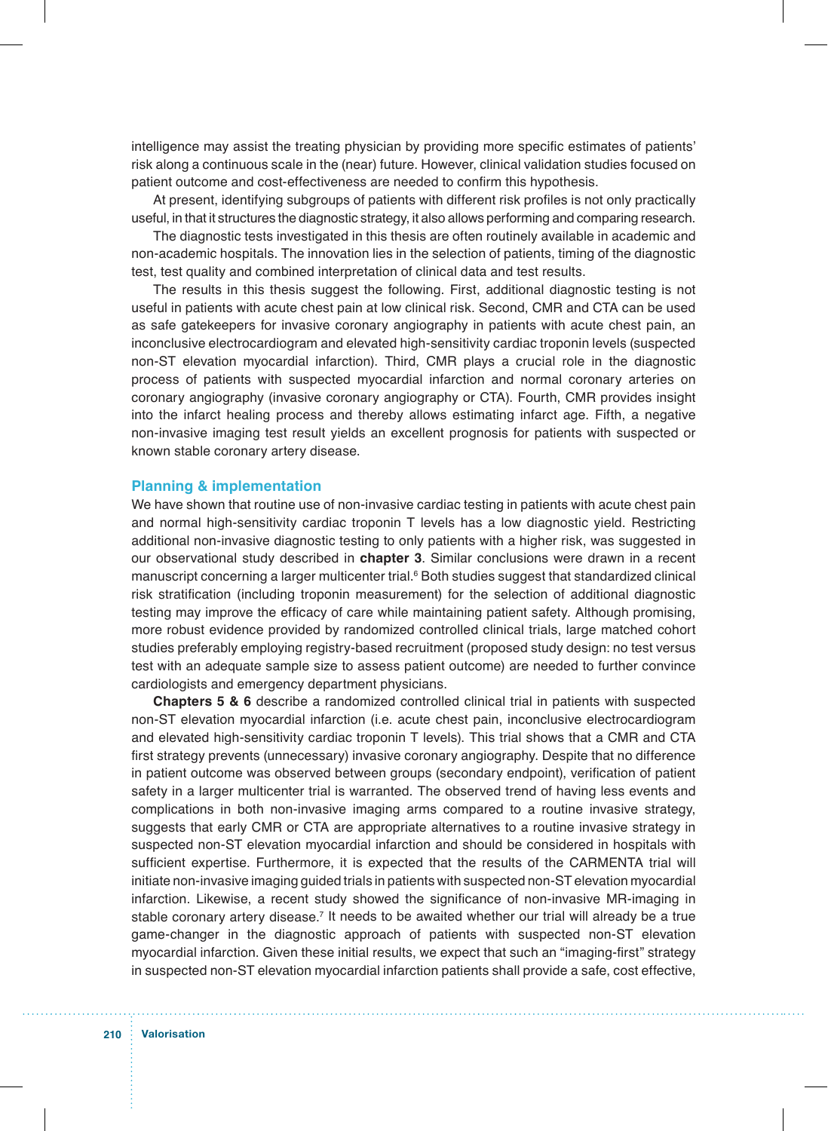intelligence may assist the treating physician by providing more specifc estimates of patients' risk along a continuous scale in the (near) future. However, clinical validation studies focused on patient outcome and cost-effectiveness are needed to confrm this hypothesis.

At present, identifying subgroups of patients with different risk profles is not only practically useful, in that it structures the diagnostic strategy, it also allows performing and comparing research.

The diagnostic tests investigated in this thesis are often routinely available in academic and non-academic hospitals. The innovation lies in the selection of patients, timing of the diagnostic test, test quality and combined interpretation of clinical data and test results.

The results in this thesis suggest the following. First, additional diagnostic testing is not useful in patients with acute chest pain at low clinical risk. Second, CMR and CTA can be used as safe gatekeepers for invasive coronary angiography in patients with acute chest pain, an inconclusive electrocardiogram and elevated high-sensitivity cardiac troponin levels (suspected non-ST elevation myocardial infarction). Third, CMR plays a crucial role in the diagnostic process of patients with suspected myocardial infarction and normal coronary arteries on coronary angiography (invasive coronary angiography or CTA). Fourth, CMR provides insight into the infarct healing process and thereby allows estimating infarct age. Fifth, a negative non-invasive imaging test result yields an excellent prognosis for patients with suspected or known stable coronary artery disease.

#### **Planning & implementation**

We have shown that routine use of non-invasive cardiac testing in patients with acute chest pain and normal high-sensitivity cardiac troponin T levels has a low diagnostic yield. Restricting additional non-invasive diagnostic testing to only patients with a higher risk, was suggested in our observational study described in **chapter 3**. Similar conclusions were drawn in a recent manuscript concerning a larger multicenter trial.<sup>6</sup> Both studies suggest that standardized clinical risk stratifcation (including troponin measurement) for the selection of additional diagnostic testing may improve the efficacy of care while maintaining patient safety. Although promising, more robust evidence provided by randomized controlled clinical trials, large matched cohort studies preferably employing registry-based recruitment (proposed study design: no test versus test with an adequate sample size to assess patient outcome) are needed to further convince cardiologists and emergency department physicians.

**Chapters 5 & 6** describe a randomized controlled clinical trial in patients with suspected non-ST elevation myocardial infarction (i.e. acute chest pain, inconclusive electrocardiogram and elevated high-sensitivity cardiac troponin T levels). This trial shows that a CMR and CTA first strategy prevents (unnecessary) invasive coronary angiography. Despite that no difference in patient outcome was observed between groups (secondary endpoint), verifcation of patient safety in a larger multicenter trial is warranted. The observed trend of having less events and complications in both non-invasive imaging arms compared to a routine invasive strategy, suggests that early CMR or CTA are appropriate alternatives to a routine invasive strategy in suspected non-ST elevation myocardial infarction and should be considered in hospitals with sufficient expertise. Furthermore, it is expected that the results of the CARMENTA trial will initiate non-invasive imaging guided trials in patients with suspected non-ST elevation myocardial infarction. Likewise, a recent study showed the significance of non-invasive MR-imaging in stable coronary artery disease.<sup>7</sup> It needs to be awaited whether our trial will already be a true game-changer in the diagnostic approach of patients with suspected non-ST elevation myocardial infarction. Given these initial results, we expect that such an "imaging-frst" strategy in suspected non-ST elevation myocardial infarction patients shall provide a safe, cost effective,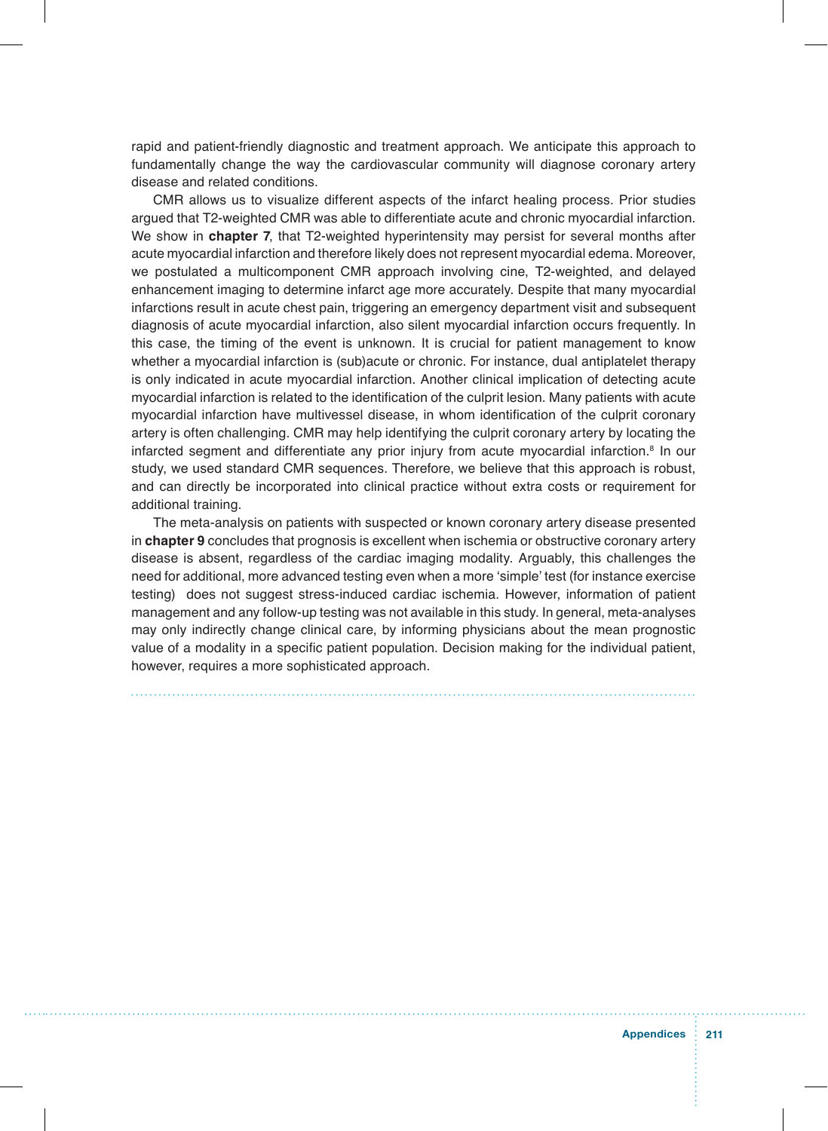rapid and patient-friendly diagnostic and treatment approach. We anticipate this approach to fundamentally change the way the cardiovascular community will diagnose coronary artery disease and related conditions.

CMR allows us to visualize different aspects of the infarct healing process. Prior studies argued that T2-weighted CMR was able to differentiate acute and chronic myocardial infarction. We show in **chapter 7**, that T2-weighted hyperintensity may persist for several months after acute myocardial infarction and therefore likely does not represent myocardial edema. Moreover, we postulated a multicomponent CMR approach involving cine, T2-weighted, and delayed enhancement imaging to determine infarct age more accurately. Despite that many myocardial infarctions result in acute chest pain, triggering an emergency department visit and subsequent diagnosis of acute myocardial infarction, also silent myocardial infarction occurs frequently. In this case, the timing of the event is unknown. It is crucial for patient management to know whether a myocardial infarction is (sub)acute or chronic. For instance, dual antiplatelet therapy is only indicated in acute myocardial infarction. Another clinical implication of detecting acute myocardial infarction is related to the identification of the culprit lesion. Many patients with acute myocardial infarction have multivessel disease, in whom identifcation of the culprit coronary artery is often challenging. CMR may help identifying the culprit coronary artery by locating the infarcted segment and differentiate any prior injury from acute myocardial infarction.<sup>8</sup> In our study, we used standard CMR sequences. Therefore, we believe that this approach is robust, and can directly be incorporated into clinical practice without extra costs or requirement for additional training.

The meta-analysis on patients with suspected or known coronary artery disease presented in **chapter 9** concludes that prognosis is excellent when ischemia or obstructive coronary artery disease is absent, regardless of the cardiac imaging modality. Arguably, this challenges the need for additional, more advanced testing even when a more 'simple' test (for instance exercise testing) does not suggest stress-induced cardiac ischemia. However, information of patient management and any follow-up testing was not available in this study. In general, meta-analyses may only indirectly change clinical care, by informing physicians about the mean prognostic value of a modality in a specific patient population. Decision making for the individual patient, however, requires a more sophisticated approach.